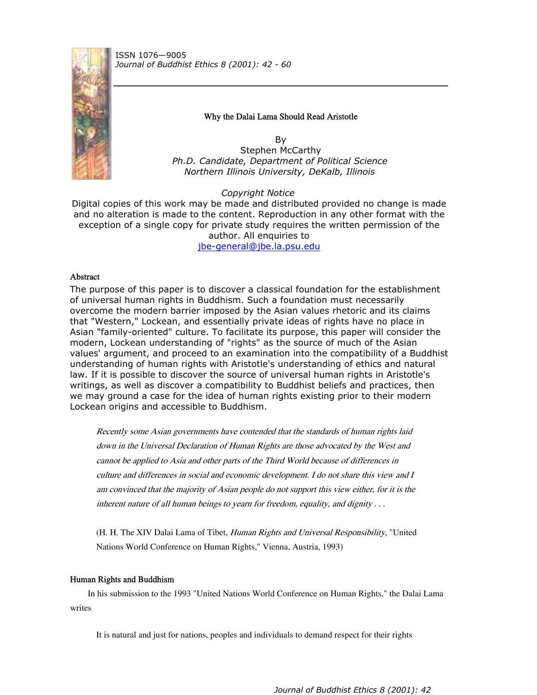

ISSN 1076—9005 *Journal of Buddhist Ethics 8 (2001): 42 - 60*

## Why the Dalai Lama Should Read Aristotle

By Stephen McCarthy *Ph.D. Candidate, Department of Political Science Northern Illinois University, DeKalb, Illinois*

*Copyright Notice*

Digital copies of this work may be made and distributed provided no change is made and no alteration is made to the content. Reproduction in any other format with the exception of a single copy for private study requires the written permission of the author. All enquiries to jbe-general@jbe.la.psu.edu

# Abstract

The purpose of this paper is to discover a classical foundation for the establishment of universal human rights in Buddhism. Such a foundation must necessarily overcome the modern barrier imposed by the Asian values rhetoric and its claims that "Western," Lockean, and essentially private ideas of rights have no place in Asian "family-oriented" culture. To facilitate its purpose, this paper will consider the modern, Lockean understanding of "rights" as the source of much of the Asian values' argument, and proceed to an examination into the compatibility of a Buddhist understanding of human rights with Aristotle's understanding of ethics and natural law. If it is possible to discover the source of universal human rights in Aristotle's writings, as well as discover a compatibility to Buddhist beliefs and practices, then we may ground a case for the idea of human rights existing prior to their modern Lockean origins and accessible to Buddhism.

Recently some Asian governments have contended that the standards of human rights laid down in the Universal Declaration of Human Rights are those advocated by the West and cannot be applied to Asia and other parts of the Third World because of differences in culture and differences in social and economic development. I do not share this view and I am convinced that the majority of Asian people do not support this view either, for it is the inherent nature of all human beings to yearn for freedom, equality, and dignity . . .

(H. H. The XIV Dalai Lama of Tibet, Human Rights and Universal Responsibility, "United Nations World Conference on Human Rights," Vienna, Austria, 1993)

# Human Rights and Buddhism

In his submission to the 1993 "United Nations World Conference on Human Rights," the Dalai Lama writes

It is natural and just for nations, peoples and individuals to demand respect for their rights

*Journal of Buddhist Ethics 8 (2001): 42*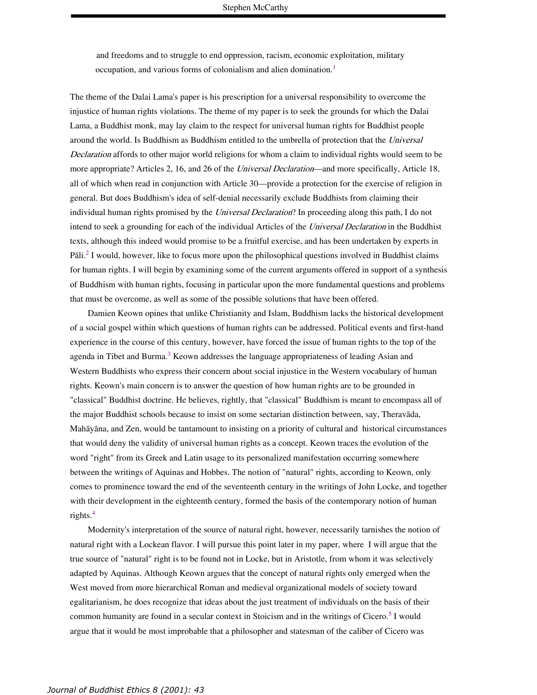and freedoms and to struggle to end oppression, racism, economic exploitation, military occupation, and various forms of colonialism and alien domination.<sup>1</sup>

The theme of the Dalai Lama's paper is his prescription for a universal responsibility to overcome the injustice of human rights violations. The theme of my paper is to seek the grounds for which the Dalai Lama, a Buddhist monk, may lay claim to the respect for universal human rights for Buddhist people around the world. Is Buddhism as Buddhism entitled to the umbrella of protection that the Universal Declaration affords to other major world religions for whom a claim to individual rights would seem to be more appropriate? Articles 2, 16, and 26 of the *Universal Declaration*—and more specifically, Article 18, all of which when read in conjunction with Article 30—provide a protection for the exercise of religion in general. But does Buddhism's idea of self-denial necessarily exclude Buddhists from claiming their individual human rights promised by the Universal Declaration? In proceeding along this path, I do not intend to seek a grounding for each of the individual Articles of the Universal Declaration in the Buddhist texts, although this indeed would promise to be a fruitful exercise, and has been undertaken by experts in Pāli.<sup>2</sup> I would, however, like to focus more upon the philosophical questions involved in Buddhist claims for human rights. I will begin by examining some of the current arguments offered in support of a synthesis of Buddhism with human rights, focusing in particular upon the more fundamental questions and problems that must be overcome, as well as some of the possible solutions that have been offered.

Damien Keown opines that unlike Christianity and Islam, Buddhism lacks the historical development of a social gospel within which questions of human rights can be addressed. Political events and first-hand experience in the course of this century, however, have forced the issue of human rights to the top of the agenda in Tibet and Burma.<sup>3</sup> Keown addresses the language appropriateness of leading Asian and Western Buddhists who express their concern about social injustice in the Western vocabulary of human rights. Keown's main concern is to answer the question of how human rights are to be grounded in "classical" Buddhist doctrine. He believes, rightly, that "classical" Buddhism is meant to encompass all of the major Buddhist schools because to insist on some sectarian distinction between, say, Theravada, Mahāyāna, and Zen, would be tantamount to insisting on a priority of cultural and historical circumstances that would deny the validity of universal human rights as a concept. Keown traces the evolution of the word "right" from its Greek and Latin usage to its personalized manifestation occurring somewhere between the writings of Aquinas and Hobbes. The notion of "natural" rights, according to Keown, only comes to prominence toward the end of the seventeenth century in the writings of John Locke, and together with their development in the eighteenth century, formed the basis of the contemporary notion of human rights. 4

Modernity's interpretation of the source of natural right, however, necessarily tarnishes the notion of natural right with a Lockean flavor. I will pursue this point later in my paper, where I will argue that the true source of "natural" right is to be found not in Locke, but in Aristotle, from whom it was selectively adapted by Aquinas. Although Keown argues that the concept of natural rights only emerged when the West moved from more hierarchical Roman and medieval organizational models of society toward egalitarianism, he does recognize that ideas about the just treatment of individuals on the basis of their common humanity are found in a secular context in Stoicism and in the writings of Cicero.<sup>5</sup> I would argue that it would be most improbable that a philosopher and statesman of the caliber of Cicero was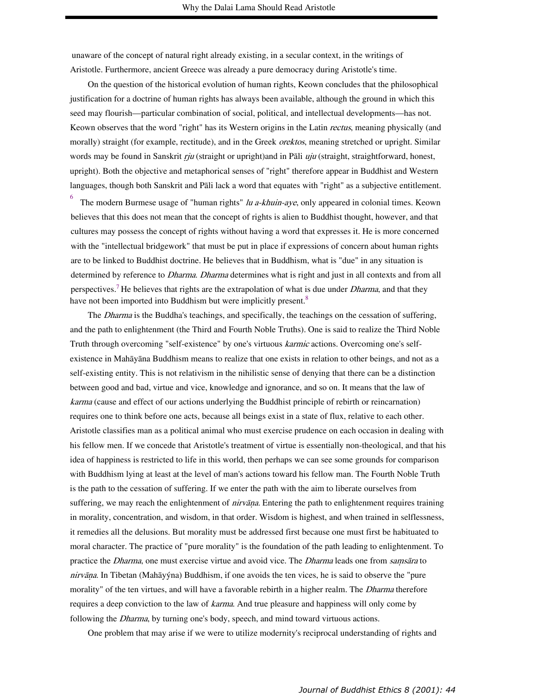unaware of the concept of natural right already existing, in a secular context, in the writings of Aristotle. Furthermore, ancient Greece was already a pure democracy during Aristotle's time.

On the question of the historical evolution of human rights, Keown concludes that the philosophical justification for a doctrine of human rights has always been available, although the ground in which this seed may flourish—particular combination of social, political, and intellectual developments—has not. Keown observes that the word "right" has its Western origins in the Latin *rectus*, meaning physically (and morally) straight (for example, rectitude), and in the Greek *orektos*, meaning stretched or upright. Similar words may be found in Sanskrit  $\eta u$  (straight or upright)and in Pali  $\eta u$  (straight, straightforward, honest, upright). Both the objective and metaphorical senses of "right" therefore appear in Buddhist and Western languages, though both Sanskrit and Pāli lack a word that equates with "right" as a subjective entitlement.

6 The modern Burmese usage of "human rights" *lu a-khuin-aye*, only appeared in colonial times. Keown believes that this does not mean that the concept of rights is alien to Buddhist thought, however, and that cultures may possess the concept of rights without having a word that expresses it. He is more concerned with the "intellectual bridgework" that must be put in place if expressions of concern about human rights are to be linked to Buddhist doctrine. He believes that in Buddhism, what is "due" in any situation is determined by reference to *Dharma. Dharma* determines what is right and just in all contexts and from all perspectives.<sup>7</sup> He believes that rights are the extrapolation of what is due under *Dharma*, and that they have not been imported into Buddhism but were implicitly present.<sup>8</sup>

The *Dharma* is the Buddha's teachings, and specifically, the teachings on the cessation of suffering, and the path to enlightenment (the Third and Fourth Noble Truths). One is said to realize the Third Noble Truth through overcoming "self-existence" by one's virtuous *karmic* actions. Overcoming one's selfexistence in Mahāyāna Buddhism means to realize that one exists in relation to other beings, and not as a self-existing entity. This is not relativism in the nihilistic sense of denying that there can be a distinction between good and bad, virtue and vice, knowledge and ignorance, and so on. It means that the law of karma (cause and effect of our actions underlying the Buddhist principle of rebirth or reincarnation) requires one to think before one acts, because all beings exist in a state of flux, relative to each other. Aristotle classifies man as a political animal who must exercise prudence on each occasion in dealing with his fellow men. If we concede that Aristotle's treatment of virtue is essentially non-theological, and that his idea of happiness is restricted to life in this world, then perhaps we can see some grounds for comparison with Buddhism lying at least at the level of man's actions toward his fellow man. The Fourth Noble Truth is the path to the cessation of suffering. If we enter the path with the aim to liberate ourselves from suffering, we may reach the enlightenment of  $\eta i\tau \nu \bar{a}n\bar{a}$ . Entering the path to enlightenment requires training in morality, concentration, and wisdom, in that order. Wisdom is highest, and when trained in selflessness, it remedies all the delusions. But morality must be addressed first because one must first be habituated to moral character. The practice of "pure morality" is the foundation of the path leading to enlightenment. To practice the *Dharma*, one must exercise virtue and avoid vice. The *Dharma* leads one from samsara to nirvāņa. In Tibetan (Mahāyýna) Buddhism, if one avoids the ten vices, he is said to observe the "pure morality" of the ten virtues, and will have a favorable rebirth in a higher realm. The *Dharma* therefore requires a deep conviction to the law of *karma*. And true pleasure and happiness will only come by following the *Dharma*, by turning one's body, speech, and mind toward virtuous actions.

One problem that may arise if we were to utilize modernity's reciprocal understanding of rights and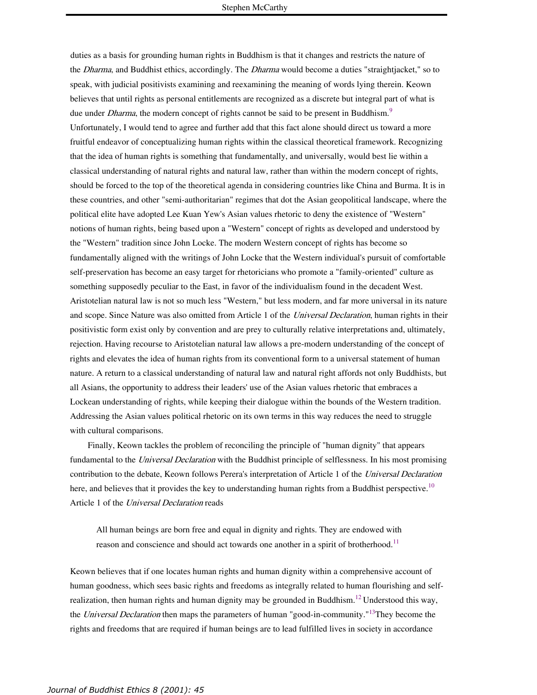duties as a basis for grounding human rights in Buddhism is that it changes and restricts the nature of the *Dharma*, and Buddhist ethics, accordingly. The *Dharma* would become a duties "straightjacket," so to speak, with judicial positivists examining and reexamining the meaning of words lying therein. Keown believes that until rights as personal entitlements are recognized as a discrete but integral part of what is due under *Dharma*, the modern concept of rights cannot be said to be present in Buddhism.<sup>9</sup> Unfortunately, I would tend to agree and further add that this fact alone should direct us toward a more fruitful endeavor of conceptualizing human rights within the classical theoretical framework. Recognizing that the idea of human rights is something that fundamentally, and universally, would best lie within a classical understanding of natural rights and natural law, rather than within the modern concept of rights, should be forced to the top of the theoretical agenda in considering countries like China and Burma. It is in these countries, and other "semi-authoritarian" regimes that dot the Asian geopolitical landscape, where the political elite have adopted Lee Kuan Yew's Asian values rhetoric to deny the existence of "Western" notions of human rights, being based upon a "Western" concept of rights as developed and understood by the "Western" tradition since John Locke. The modern Western concept of rights has become so fundamentally aligned with the writings of John Locke that the Western individual's pursuit of comfortable self-preservation has become an easy target for rhetoricians who promote a "family-oriented" culture as something supposedly peculiar to the East, in favor of the individualism found in the decadent West. Aristotelian natural law is not so much less "Western," but less modern, and far more universal in its nature and scope. Since Nature was also omitted from Article 1 of the Universal Declaration, human rights in their positivistic form exist only by convention and are prey to culturally relative interpretations and, ultimately, rejection. Having recourse to Aristotelian natural law allows a pre-modern understanding of the concept of rights and elevates the idea of human rights from its conventional form to a universal statement of human nature. A return to a classical understanding of natural law and natural right affords not only Buddhists, but all Asians, the opportunity to address their leaders' use of the Asian values rhetoric that embraces a Lockean understanding of rights, while keeping their dialogue within the bounds of the Western tradition. Addressing the Asian values political rhetoric on its own terms in this way reduces the need to struggle with cultural comparisons.

Finally, Keown tackles the problem of reconciling the principle of "human dignity" that appears fundamental to the Universal Declaration with the Buddhist principle of selflessness. In his most promising contribution to the debate, Keown follows Perera's interpretation of Article 1 of the Universal Declaration here, and believes that it provides the key to understanding human rights from a Buddhist perspective.<sup>10</sup> Article 1 of the Universal Declaration reads

All human beings are born free and equal in dignity and rights. They are endowed with reason and conscience and should act towards one another in a spirit of brotherhood.<sup>11</sup>

Keown believes that if one locates human rights and human dignity within a comprehensive account of human goodness, which sees basic rights and freedoms as integrally related to human flourishing and selfrealization, then human rights and human dignity may be grounded in Buddhism.<sup>12</sup> Understood this way, the *Universal Declaration* then maps the parameters of human "good-in-community."<sup>13</sup>They become the rights and freedoms that are required if human beings are to lead fulfilled lives in society in accordance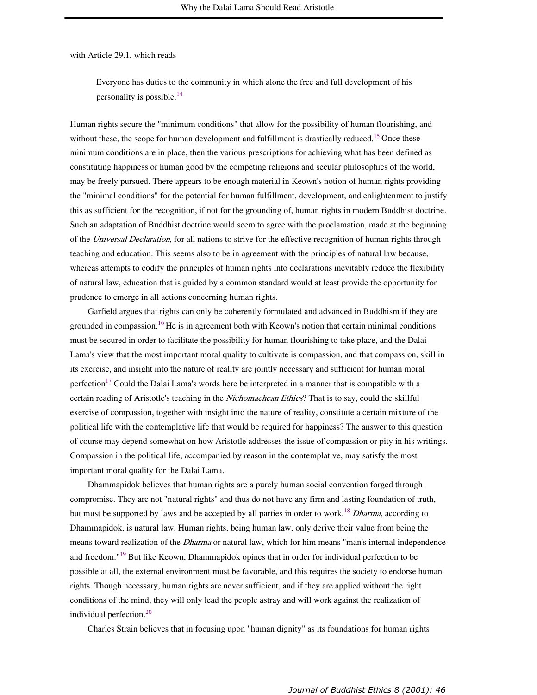with Article 29.1, which reads

Everyone has duties to the community in which alone the free and full development of his personality is possible. 14

Human rights secure the "minimum conditions" that allow for the possibility of human flourishing, and without these, the scope for human development and fulfillment is drastically reduced.<sup>15</sup> Once these minimum conditions are in place, then the various prescriptions for achieving what has been defined as constituting happiness or human good by the competing religions and secular philosophies of the world, may be freely pursued. There appears to be enough material in Keown's notion of human rights providing the "minimal conditions" for the potential for human fulfillment, development, and enlightenment to justify this as sufficient for the recognition, if not for the grounding of, human rights in modern Buddhist doctrine. Such an adaptation of Buddhist doctrine would seem to agree with the proclamation, made at the beginning of the Universal Declaration, for all nations to strive for the effective recognition of human rights through teaching and education. This seems also to be in agreement with the principles of natural law because, whereas attempts to codify the principles of human rights into declarations inevitably reduce the flexibility of natural law, education that is guided by a common standard would at least provide the opportunity for prudence to emerge in all actions concerning human rights.

Garfield argues that rights can only be coherently formulated and advanced in Buddhism if they are grounded in compassion.<sup>16</sup>He is in agreement both with Keown's notion that certain minimal conditions must be secured in order to facilitate the possibility for human flourishing to take place, and the Dalai Lama's view that the most important moral quality to cultivate is compassion, and that compassion, skill in its exercise, and insight into the nature of reality are jointly necessary and sufficient for human moral perfection<sup>17</sup> Could the Dalai Lama's words here be interpreted in a manner that is compatible with a certain reading of Aristotle's teaching in the *Nichomachean Ethics*? That is to say, could the skillful exercise of compassion, together with insight into the nature of reality, constitute a certain mixture of the political life with the contemplative life that would be required for happiness? The answer to this question of course may depend somewhat on how Aristotle addresses the issue of compassion or pity in his writings. Compassion in the political life, accompanied by reason in the contemplative, may satisfy the most important moral quality for the Dalai Lama.

Dhammapidok believes that human rights are a purely human social convention forged through compromise. They are not "natural rights" and thus do not have any firm and lasting foundation of truth, but must be supported by laws and be accepted by all parties in order to work.<sup>18</sup> Dharma, according to Dhammapidok, is natural law. Human rights, being human law, only derive their value from being the means toward realization of the *Dharma* or natural law, which for him means "man's internal independence and freedom."<sup>19</sup> But like Keown, Dhammapidok opines that in order for individual perfection to be possible at all, the external environment must be favorable, and this requires the society to endorse human rights. Though necessary, human rights are never sufficient, and if they are applied without the right conditions of the mind, they will only lead the people astray and will work against the realization of individual perfection. 20

Charles Strain believes that in focusing upon "human dignity" as its foundations for human rights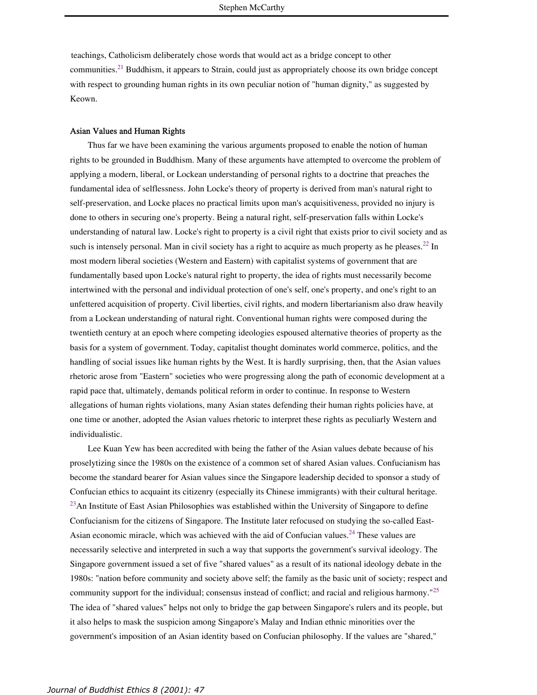teachings, Catholicism deliberately chose words that would act as a bridge concept to other communities.<sup>21</sup> Buddhism, it appears to Strain, could just as appropriately choose its own bridge concept with respect to grounding human rights in its own peculiar notion of "human dignity," as suggested by Keown.

#### Asian Values and Human Rights

Thus far we have been examining the various arguments proposed to enable the notion of human rights to be grounded in Buddhism. Many of these arguments have attempted to overcome the problem of applying a modern, liberal, or Lockean understanding of personal rights to a doctrine that preaches the fundamental idea of selflessness. John Locke's theory of property is derived from man's natural right to self-preservation, and Locke places no practical limits upon man's acquisitiveness, provided no injury is done to others in securing one's property. Being a natural right, self-preservation falls within Locke's understanding of natural law. Locke's right to property is a civil right that exists prior to civil society and as such is intensely personal. Man in civil society has a right to acquire as much property as he pleases.<sup>22</sup> In most modern liberal societies (Western and Eastern) with capitalist systems of government that are fundamentally based upon Locke's natural right to property, the idea of rights must necessarily become intertwined with the personal and individual protection of one's self, one's property, and one's right to an unfettered acquisition of property. Civil liberties, civil rights, and modern libertarianism also draw heavily from a Lockean understanding of natural right. Conventional human rights were composed during the twentieth century at an epoch where competing ideologies espoused alternative theories of property as the basis for a system of government. Today, capitalist thought dominates world commerce, politics, and the handling of social issues like human rights by the West. It is hardly surprising, then, that the Asian values rhetoric arose from "Eastern" societies who were progressing along the path of economic development at a rapid pace that, ultimately, demands political reform in order to continue. In response to Western allegations of human rights violations, many Asian states defending their human rights policies have, at one time or another, adopted the Asian values rhetoric to interpret these rights as peculiarly Western and individualistic.

Lee Kuan Yew has been accredited with being the father of the Asian values debate because of his proselytizing since the 1980s on the existence of a common set of shared Asian values. Confucianism has become the standard bearer for Asian values since the Singapore leadership decided to sponsor a study of Confucian ethics to acquaint its citizenry (especially its Chinese immigrants) with their cultural heritage. <sup>23</sup>An Institute of East Asian Philosophies was established within the University of Singapore to define Confucianism for the citizens of Singapore. The Institute later refocused on studying the so-called East-Asian economic miracle, which was achieved with the aid of Confucian values.<sup>24</sup> These values are necessarily selective and interpreted in such a way that supports the government's survival ideology. The Singapore government issued a set of five "shared values" as a result of its national ideology debate in the 1980s: "nation before community and society above self; the family as the basic unit of society; respect and community support for the individual; consensus instead of conflict; and racial and religious harmony."<sup>25</sup> The idea of "shared values" helps not only to bridge the gap between Singapore's rulers and its people, but it also helps to mask the suspicion among Singapore's Malay and Indian ethnic minorities over the government's imposition of an Asian identity based on Confucian philosophy. If the values are "shared,"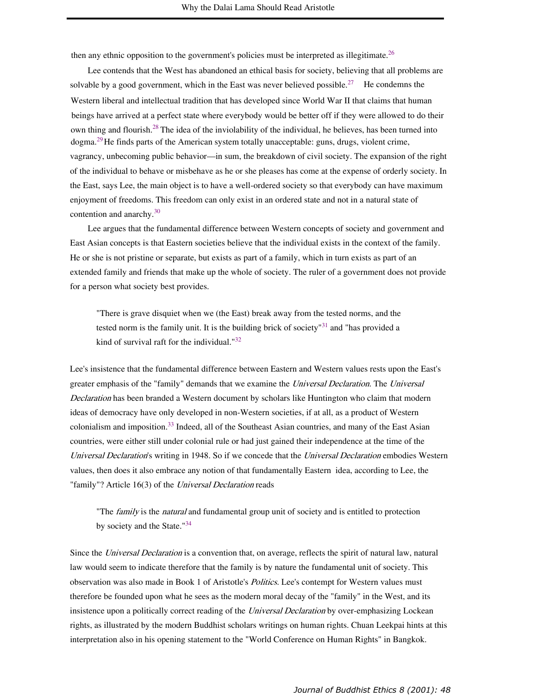then any ethnic opposition to the government's policies must be interpreted as illegitimate.<sup>26</sup>

Lee contends that the West has abandoned an ethical basis for society, believing that all problems are solvable by a good government, which in the East was never believed possible.<sup>27</sup> He condemns the Western liberal and intellectual tradition that has developed since World War II that claims that human beings have arrived at a perfect state where everybody would be better off if they were allowed to do their own thing and flourish.<sup>28</sup> The idea of the inviolability of the individual, he believes, has been turned into dogma.<sup>29</sup>He finds parts of the American system totally unacceptable: guns, drugs, violent crime, vagrancy, unbecoming public behavior—in sum, the breakdown of civil society. The expansion of the right of the individual to behave or misbehave as he or she pleases has come at the expense of orderly society. In the East, says Lee, the main object is to have a well-ordered society so that everybody can have maximum enjoyment of freedoms. This freedom can only exist in an ordered state and not in a natural state of contention and anarchy. 30

Lee argues that the fundamental difference between Western concepts of society and government and East Asian concepts is that Eastern societies believe that the individual exists in the context of the family. He or she is not pristine or separate, but exists as part of a family, which in turn exists as part of an extended family and friends that make up the whole of society. The ruler of a government does not provide for a person what society best provides.

"There is grave disquiet when we (the East) break away from the tested norms, and the tested norm is the family unit. It is the building brick of society<sup>"31</sup> and "has provided a kind of survival raft for the individual." $32$ 

Lee's insistence that the fundamental difference between Eastern and Western values rests upon the East's greater emphasis of the "family" demands that we examine the Universal Declaration. The Universal Declaration has been branded a Western document by scholars like Huntington who claim that modern ideas of democracy have only developed in non-Western societies, if at all, as a product of Western colonialism and imposition.<sup>33</sup> Indeed, all of the Southeast Asian countries, and many of the East Asian countries, were either still under colonial rule or had just gained their independence at the time of the Universal Declaration's writing in 1948. So if we concede that the Universal Declaration embodies Western values, then does it also embrace any notion of that fundamentally Eastern idea, according to Lee, the "family"? Article 16(3) of the Universal Declaration reads

"The family is the natural and fundamental group unit of society and is entitled to protection by society and the State."<sup>34</sup>

Since the *Universal Declaration* is a convention that, on average, reflects the spirit of natural law, natural law would seem to indicate therefore that the family is by nature the fundamental unit of society. This observation was also made in Book 1 of Aristotle's Politics. Lee's contempt for Western values must therefore be founded upon what he sees as the modern moral decay of the "family" in the West, and its insistence upon a politically correct reading of the *Universal Declaration* by over-emphasizing Lockean rights, as illustrated by the modern Buddhist scholars writings on human rights. Chuan Leekpai hints at this interpretation also in his opening statement to the "World Conference on Human Rights" in Bangkok.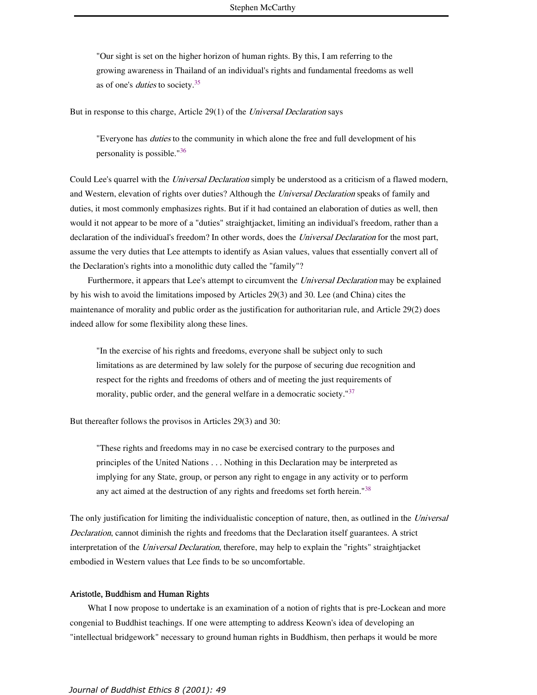"Our sight is set on the higher horizon of human rights. By this, I am referring to the growing awareness in Thailand of an individual's rights and fundamental freedoms as well as of one's *duties* to society.<sup>35</sup>

But in response to this charge, Article 29(1) of the Universal Declaration says

"Everyone has *duties* to the community in which alone the free and full development of his personality is possible."<sup>36</sup>

Could Lee's quarrel with the *Universal Declaration* simply be understood as a criticism of a flawed modern, and Western, elevation of rights over duties? Although the *Universal Declaration* speaks of family and duties, it most commonly emphasizes rights. But if it had contained an elaboration of duties as well, then would it not appear to be more of a "duties" straightjacket, limiting an individual's freedom, rather than a declaration of the individual's freedom? In other words, does the *Universal Declaration* for the most part, assume the very duties that Lee attempts to identify as Asian values, values that essentially convert all of the Declaration's rights into a monolithic duty called the "family"?

Furthermore, it appears that Lee's attempt to circumvent the Universal Declaration may be explained by his wish to avoid the limitations imposed by Articles 29(3) and 30. Lee (and China) cites the maintenance of morality and public order as the justification for authoritarian rule, and Article 29(2) does indeed allow for some flexibility along these lines.

"In the exercise of his rights and freedoms, everyone shall be subject only to such limitations as are determined by law solely for the purpose of securing due recognition and respect for the rights and freedoms of others and of meeting the just requirements of morality, public order, and the general welfare in a democratic society."<sup>37</sup>

But thereafter follows the provisos in Articles 29(3) and 30:

"These rights and freedoms may in no case be exercised contrary to the purposes and principles of the United Nations . . . Nothing in this Declaration may be interpreted as implying for any State, group, or person any right to engage in any activity or to perform any act aimed at the destruction of any rights and freedoms set forth herein."<sup>38</sup>

The only justification for limiting the individualistic conception of nature, then, as outlined in the Universal Declaration, cannot diminish the rights and freedoms that the Declaration itself guarantees. A strict interpretation of the Universal Declaration, therefore, may help to explain the "rights" straightjacket embodied in Western values that Lee finds to be so uncomfortable.

### Aristotle, Buddhism and Human Rights

What I now propose to undertake is an examination of a notion of rights that is pre-Lockean and more congenial to Buddhist teachings. If one were attempting to address Keown's idea of developing an "intellectual bridgework" necessary to ground human rights in Buddhism, then perhaps it would be more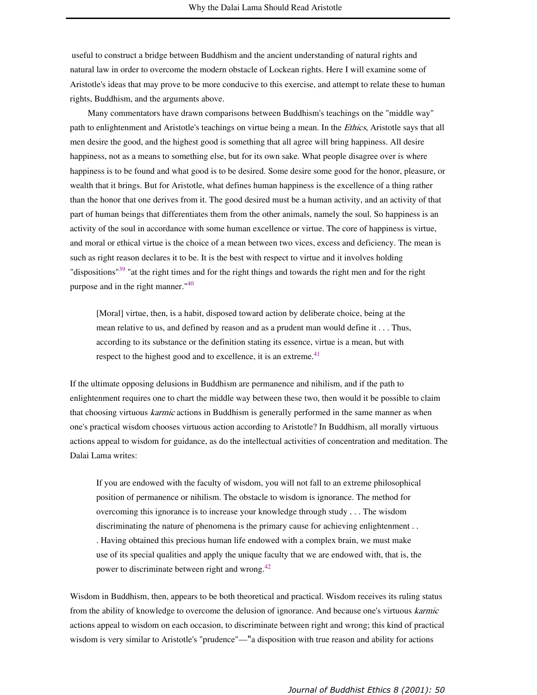useful to construct a bridge between Buddhism and the ancient understanding of natural rights and natural law in order to overcome the modern obstacle of Lockean rights. Here I will examine some of Aristotle's ideas that may prove to be more conducive to this exercise, and attempt to relate these to human rights, Buddhism, and the arguments above.

Many commentators have drawn comparisons between Buddhism's teachings on the "middle way" path to enlightenment and Aristotle's teachings on virtue being a mean. In the *Ethics*, Aristotle says that all men desire the good, and the highest good is something that all agree will bring happiness. All desire happiness, not as a means to something else, but for its own sake. What people disagree over is where happiness is to be found and what good is to be desired. Some desire some good for the honor, pleasure, or wealth that it brings. But for Aristotle, what defines human happiness is the excellence of a thing rather than the honor that one derives from it. The good desired must be a human activity, and an activity of that part of human beings that differentiates them from the other animals, namely the soul. So happiness is an activity of the soul in accordance with some human excellence or virtue. The core of happiness is virtue, and moral or ethical virtue is the choice of a mean between two vices, excess and deficiency. The mean is such as right reason declares it to be. It is the best with respect to virtue and it involves holding "dispositions"<sup>39</sup> "at the right times and for the right things and towards the right men and for the right purpose and in the right manner."<sup>40</sup>

[Moral] virtue, then, is a habit, disposed toward action by deliberate choice, being at the mean relative to us, and defined by reason and as a prudent man would define it . . . Thus, according to its substance or the definition stating its essence, virtue is a mean, but with respect to the highest good and to excellence, it is an extreme.<sup>41</sup>

If the ultimate opposing delusions in Buddhism are permanence and nihilism, and if the path to enlightenment requires one to chart the middle way between these two, then would it be possible to claim that choosing virtuous *karmic* actions in Buddhism is generally performed in the same manner as when one's practical wisdom chooses virtuous action according to Aristotle? In Buddhism, all morally virtuous actions appeal to wisdom for guidance, as do the intellectual activities of concentration and meditation. The Dalai Lama writes:

If you are endowed with the faculty of wisdom, you will not fall to an extreme philosophical position of permanence or nihilism. The obstacle to wisdom is ignorance. The method for overcoming this ignorance is to increase your knowledge through study . . . The wisdom discriminating the nature of phenomena is the primary cause for achieving enlightenment . . . Having obtained this precious human life endowed with a complex brain, we must make use of its special qualities and apply the unique faculty that we are endowed with, that is, the power to discriminate between right and wrong.<sup>42</sup>

Wisdom in Buddhism, then, appears to be both theoretical and practical. Wisdom receives its ruling status from the ability of knowledge to overcome the delusion of ignorance. And because one's virtuous karmic actions appeal to wisdom on each occasion, to discriminate between right and wrong; this kind of practical wisdom is very similar to Aristotle's "prudence"—"a disposition with true reason and ability for actions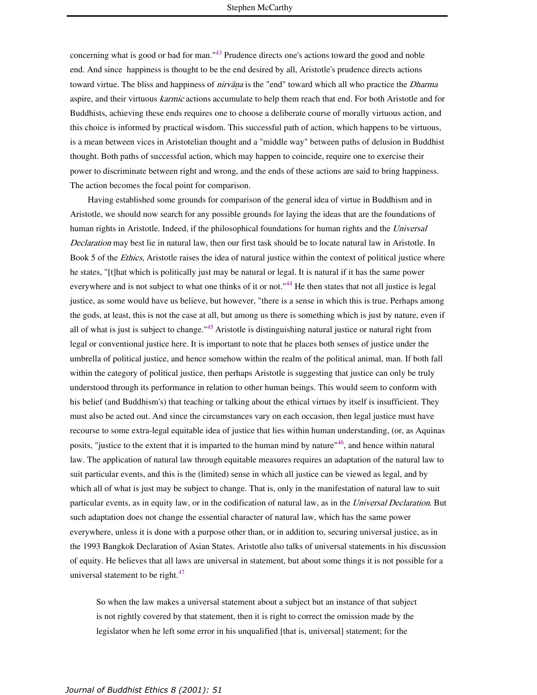concerning what is good or bad for man."<sup>43</sup> Prudence directs one's actions toward the good and noble end. And since happiness is thought to be the end desired by all, Aristotle's prudence directs actions toward virtue. The bliss and happiness of *nirvana* is the "end" toward which all who practice the *Dharma* aspire, and their virtuous *karmic* actions accumulate to help them reach that end. For both Aristotle and for Buddhists, achieving these ends requires one to choose a deliberate course of morally virtuous action, and this choice is informed by practical wisdom. This successful path of action, which happens to be virtuous, is a mean between vices in Aristotelian thought and a "middle way" between paths of delusion in Buddhist thought. Both paths of successful action, which may happen to coincide, require one to exercise their power to discriminate between right and wrong, and the ends of these actions are said to bring happiness. The action becomes the focal point for comparison.

Having established some grounds for comparison of the general idea of virtue in Buddhism and in Aristotle, we should now search for any possible grounds for laying the ideas that are the foundations of human rights in Aristotle. Indeed, if the philosophical foundations for human rights and the Universal Declaration may best lie in natural law, then our first task should be to locate natural law in Aristotle. In Book 5 of the *Ethics*, Aristotle raises the idea of natural justice within the context of political justice where he states, "[t]hat which is politically just may be natural or legal. It is natural if it has the same power everywhere and is not subject to what one thinks of it or not."<sup>44</sup> He then states that not all justice is legal justice, as some would have us believe, but however, "there is a sense in which this is true. Perhaps among the gods, at least, this is not the case at all, but among us there is something which is just by nature, even if all of what is just is subject to change."<sup>45</sup> Aristotle is distinguishing natural justice or natural right from legal or conventional justice here. It is important to note that he places both senses of justice under the umbrella of political justice, and hence somehow within the realm of the political animal, man. If both fall within the category of political justice, then perhaps Aristotle is suggesting that justice can only be truly understood through its performance in relation to other human beings. This would seem to conform with his belief (and Buddhism's) that teaching or talking about the ethical virtues by itself is insufficient. They must also be acted out. And since the circumstances vary on each occasion, then legal justice must have recourse to some extra-legal equitable idea of justice that lies within human understanding, (or, as Aquinas posits, "justice to the extent that it is imparted to the human mind by nature"<sup>46</sup>, and hence within natural law. The application of natural law through equitable measures requires an adaptation of the natural law to suit particular events, and this is the (limited) sense in which all justice can be viewed as legal, and by which all of what is just may be subject to change. That is, only in the manifestation of natural law to suit particular events, as in equity law, or in the codification of natural law, as in the Universal Declaration. But such adaptation does not change the essential character of natural law, which has the same power everywhere, unless it is done with a purpose other than, or in addition to, securing universal justice, as in the 1993 Bangkok Declaration of Asian States. Aristotle also talks of universal statements in his discussion of equity. He believes that all laws are universal in statement, but about some things it is not possible for a universal statement to be right.<sup>47</sup>

So when the law makes a universal statement about a subject but an instance of that subject is not rightly covered by that statement, then it is right to correct the omission made by the legislator when he left some error in his unqualified [that is, universal] statement; for the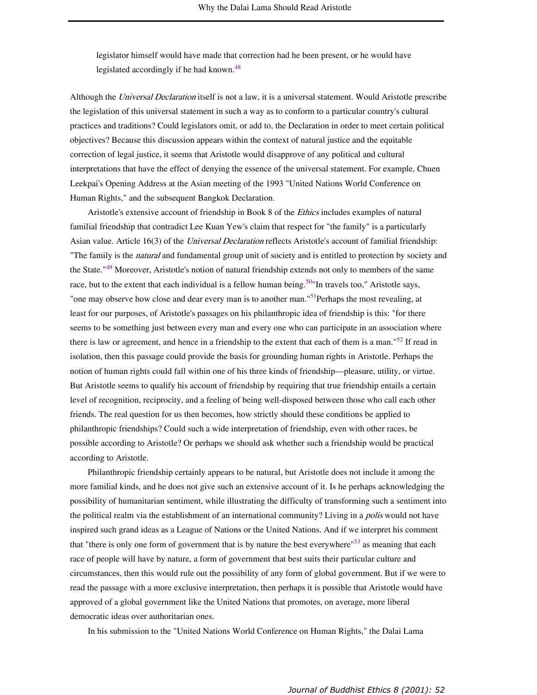legislator himself would have made that correction had he been present, or he would have legislated accordingly if he had known.<sup>48</sup>

Although the Universal Declaration itself is not a law, it is a universal statement. Would Aristotle prescribe the legislation of this universal statement in such a way as to conform to a particular country's cultural practices and traditions? Could legislators omit, or add to, the Declaration in order to meet certain political objectives? Because this discussion appears within the context of natural justice and the equitable correction of legal justice, it seems that Aristotle would disapprove of any political and cultural interpretations that have the effect of denying the essence of the universal statement. For example, Chuen Leekpai's Opening Address at the Asian meeting of the 1993 "United Nations World Conference on Human Rights," and the subsequent Bangkok Declaration.

Aristotle's extensive account of friendship in Book 8 of the Ethics includes examples of natural familial friendship that contradict Lee Kuan Yew's claim that respect for "the family" is a particularly Asian value. Article 16(3) of the *Universal Declaration* reflects Aristotle's account of familial friendship: "The family is the *natural* and fundamental group unit of society and is entitled to protection by society and the State."<sup>49</sup> Moreover, Aristotle's notion of natural friendship extends not only to members of the same race, but to the extent that each individual is a fellow human being.<sup>50</sup> "In travels too," Aristotle says, "one may observe how close and dear every man is to another man."<sup>51</sup>Perhaps the most revealing, at least for our purposes, of Aristotle's passages on his philanthropic idea of friendship is this: "for there seems to be something just between every man and every one who can participate in an association where there is law or agreement, and hence in a friendship to the extent that each of them is a man."<sup>52</sup> If read in isolation, then this passage could provide the basis for grounding human rights in Aristotle. Perhaps the notion of human rights could fall within one of his three kinds of friendship—pleasure, utility, or virtue. But Aristotle seems to qualify his account of friendship by requiring that true friendship entails a certain level of recognition, reciprocity, and a feeling of being well-disposed between those who call each other friends. The real question for us then becomes, how strictly should these conditions be applied to philanthropic friendships? Could such a wide interpretation of friendship, even with other races, be possible according to Aristotle? Or perhaps we should ask whether such a friendship would be practical according to Aristotle.

Philanthropic friendship certainly appears to be natural, but Aristotle does not include it among the more familial kinds, and he does not give such an extensive account of it. Is he perhaps acknowledging the possibility of humanitarian sentiment, while illustrating the difficulty of transforming such a sentiment into the political realm via the establishment of an international community? Living in a *polis* would not have inspired such grand ideas as a League of Nations or the United Nations. And if we interpret his comment that "there is only one form of government that is by nature the best everywhere"<sup>53</sup> as meaning that each race of people will have by nature, a form of government that best suits their particular culture and circumstances, then this would rule out the possibility of any form of global government. But if we were to read the passage with a more exclusive interpretation, then perhaps it is possible that Aristotle would have approved of a global government like the United Nations that promotes, on average, more liberal democratic ideas over authoritarian ones.

In his submission to the "United Nations World Conference on Human Rights," the Dalai Lama

*Journal of Buddhist Ethics 8 (2001): 52*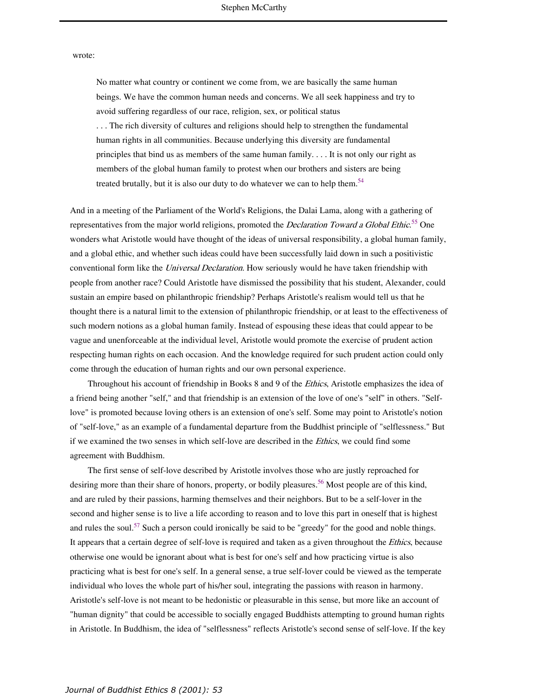#### wrote:

No matter what country or continent we come from, we are basically the same human beings. We have the common human needs and concerns. We all seek happiness and try to avoid suffering regardless of our race, religion, sex, or political status . . . The rich diversity of cultures and religions should help to strengthen the fundamental human rights in all communities. Because underlying this diversity are fundamental principles that bind us as members of the same human family. . . . It is not only our right as members of the global human family to protest when our brothers and sisters are being treated brutally, but it is also our duty to do whatever we can to help them.<sup>54</sup>

And in a meeting of the Parliament of the World's Religions, the Dalai Lama, along with a gathering of representatives from the major world religions, promoted the *Declaration Toward a Global Ethic*.<sup>55</sup> One wonders what Aristotle would have thought of the ideas of universal responsibility, a global human family, and a global ethic, and whether such ideas could have been successfully laid down in such a positivistic conventional form like the *Universal Declaration*. How seriously would he have taken friendship with people from another race? Could Aristotle have dismissed the possibility that his student, Alexander, could sustain an empire based on philanthropic friendship? Perhaps Aristotle's realism would tell us that he thought there is a natural limit to the extension of philanthropic friendship, or at least to the effectiveness of such modern notions as a global human family. Instead of espousing these ideas that could appear to be vague and unenforceable at the individual level, Aristotle would promote the exercise of prudent action respecting human rights on each occasion. And the knowledge required for such prudent action could only come through the education of human rights and our own personal experience.

Throughout his account of friendship in Books 8 and 9 of the *Ethics*, Aristotle emphasizes the idea of a friend being another "self," and that friendship is an extension of the love of one's "self" in others. "Selflove" is promoted because loving others is an extension of one's self. Some may point to Aristotle's notion of "self-love," as an example of a fundamental departure from the Buddhist principle of "selflessness." But if we examined the two senses in which self-love are described in the Ethics, we could find some agreement with Buddhism.

The first sense of self-love described by Aristotle involves those who are justly reproached for desiring more than their share of honors, property, or bodily pleasures.<sup>56</sup> Most people are of this kind, and are ruled by their passions, harming themselves and their neighbors. But to be a self-lover in the second and higher sense is to live a life according to reason and to love this part in oneself that is highest and rules the soul.<sup>57</sup> Such a person could ironically be said to be "greedy" for the good and noble things. It appears that a certain degree of self-love is required and taken as a given throughout the Ethics, because otherwise one would be ignorant about what is best for one's self and how practicing virtue is also practicing what is best for one's self. In a general sense, a true self-lover could be viewed as the temperate individual who loves the whole part of his/her soul, integrating the passions with reason in harmony. Aristotle's self-love is not meant to be hedonistic or pleasurable in this sense, but more like an account of "human dignity" that could be accessible to socially engaged Buddhists attempting to ground human rights in Aristotle. In Buddhism, the idea of "selflessness" reflects Aristotle's second sense of self-love. If the key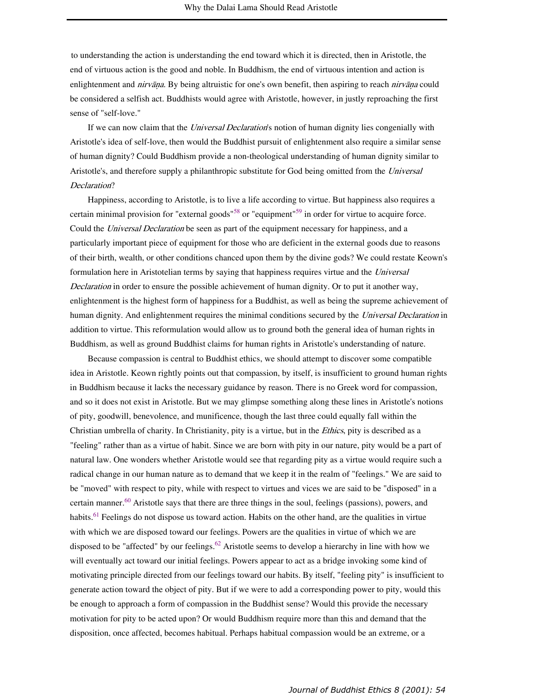to understanding the action is understanding the end toward which it is directed, then in Aristotle, the end of virtuous action is the good and noble. In Buddhism, the end of virtuous intention and action is enlightenment and *nirvāna*. By being altruistic for one's own benefit, then aspiring to reach *nirvāna* could be considered a selfish act. Buddhists would agree with Aristotle, however, in justly reproaching the first sense of "self-love."

If we can now claim that the *Universal Declaration's* notion of human dignity lies congenially with Aristotle's idea of self-love, then would the Buddhist pursuit of enlightenment also require a similar sense of human dignity? Could Buddhism provide a non-theological understanding of human dignity similar to Aristotle's, and therefore supply a philanthropic substitute for God being omitted from the Universal Declaration?

Happiness, according to Aristotle, is to live a life according to virtue. But happiness also requires a certain minimal provision for "external goods"<sup>58</sup> or "equipment"<sup>59</sup> in order for virtue to acquire force. Could the *Universal Declaration* be seen as part of the equipment necessary for happiness, and a particularly important piece of equipment for those who are deficient in the external goods due to reasons of their birth, wealth, or other conditions chanced upon them by the divine gods? We could restate Keown's formulation here in Aristotelian terms by saying that happiness requires virtue and the Universal Declaration in order to ensure the possible achievement of human dignity. Or to put it another way, enlightenment is the highest form of happiness for a Buddhist, as well as being the supreme achievement of human dignity. And enlightenment requires the minimal conditions secured by the Universal Declaration in addition to virtue. This reformulation would allow us to ground both the general idea of human rights in Buddhism, as well as ground Buddhist claims for human rights in Aristotle's understanding of nature.

Because compassion is central to Buddhist ethics, we should attempt to discover some compatible idea in Aristotle. Keown rightly points out that compassion, by itself, is insufficient to ground human rights in Buddhism because it lacks the necessary guidance by reason. There is no Greek word for compassion, and so it does not exist in Aristotle. But we may glimpse something along these lines in Aristotle's notions of pity, goodwill, benevolence, and munificence, though the last three could equally fall within the Christian umbrella of charity. In Christianity, pity is a virtue, but in the Ethics, pity is described as a "feeling" rather than as a virtue of habit. Since we are born with pity in our nature, pity would be a part of natural law. One wonders whether Aristotle would see that regarding pity as a virtue would require such a radical change in our human nature as to demand that we keep it in the realm of "feelings." We are said to be "moved" with respect to pity, while with respect to virtues and vices we are said to be "disposed" in a certain manner.<sup>60</sup> Aristotle says that there are three things in the soul, feelings (passions), powers, and habits.<sup>61</sup> Feelings do not dispose us toward action. Habits on the other hand, are the qualities in virtue with which we are disposed toward our feelings. Powers are the qualities in virtue of which we are disposed to be "affected" by our feelings.<sup>62</sup> Aristotle seems to develop a hierarchy in line with how we will eventually act toward our initial feelings. Powers appear to act as a bridge invoking some kind of motivating principle directed from our feelings toward our habits. By itself, "feeling pity" is insufficient to generate action toward the object of pity. But if we were to add a corresponding power to pity, would this be enough to approach a form of compassion in the Buddhist sense? Would this provide the necessary motivation for pity to be acted upon? Or would Buddhism require more than this and demand that the disposition, once affected, becomes habitual. Perhaps habitual compassion would be an extreme, or a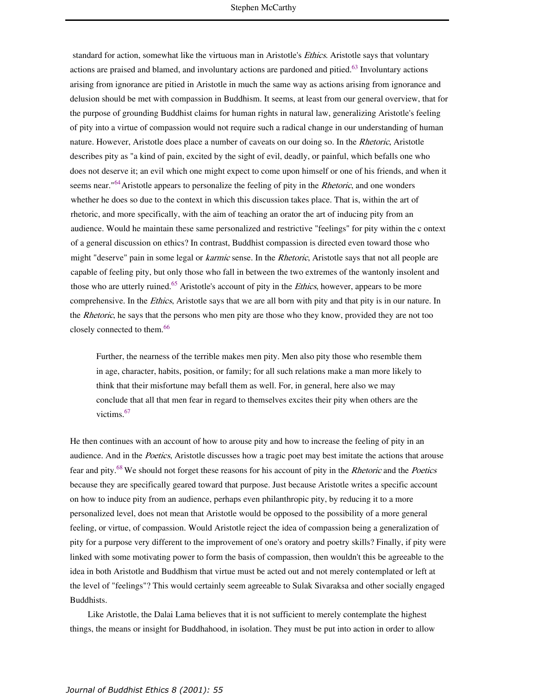standard for action, somewhat like the virtuous man in Aristotle's Ethics. Aristotle says that voluntary actions are praised and blamed, and involuntary actions are pardoned and pitied.<sup>63</sup> Involuntary actions arising from ignorance are pitied in Aristotle in much the same way as actions arising from ignorance and delusion should be met with compassion in Buddhism. It seems, at least from our general overview, that for the purpose of grounding Buddhist claims for human rights in natural law, generalizing Aristotle's feeling of pity into a virtue of compassion would not require such a radical change in our understanding of human nature. However, Aristotle does place a number of caveats on our doing so. In the Rhetoric, Aristotle describes pity as "a kind of pain, excited by the sight of evil, deadly, or painful, which befalls one who does not deserve it; an evil which one might expect to come upon himself or one of his friends, and when it seems near."<sup>64</sup>Aristotle appears to personalize the feeling of pity in the *Rhetoric*, and one wonders whether he does so due to the context in which this discussion takes place. That is, within the art of rhetoric, and more specifically, with the aim of teaching an orator the art of inducing pity from an audience. Would he maintain these same personalized and restrictive "feelings" for pity within the c ontext of a general discussion on ethics? In contrast, Buddhist compassion is directed even toward those who might "deserve" pain in some legal or karmic sense. In the Rhetoric, Aristotle says that not all people are capable of feeling pity, but only those who fall in between the two extremes of the wantonly insolent and those who are utterly ruined.<sup>65</sup> Aristotle's account of pity in the *Ethics*, however, appears to be more comprehensive. In the Ethics, Aristotle says that we are all born with pity and that pity is in our nature. In the Rhetoric, he says that the persons who men pity are those who they know, provided they are not too closely connected to them.<sup>66</sup>

Further, the nearness of the terrible makes men pity. Men also pity those who resemble them in age, character, habits, position, or family; for all such relations make a man more likely to think that their misfortune may befall them as well. For, in general, here also we may conclude that all that men fear in regard to themselves excites their pity when others are the victims.<sup>67</sup>

He then continues with an account of how to arouse pity and how to increase the feeling of pity in an audience. And in the Poetics, Aristotle discusses how a tragic poet may best imitate the actions that arouse fear and pity.<sup>68</sup> We should not forget these reasons for his account of pity in the *Rhetoric* and the *Poetics* because they are specifically geared toward that purpose. Just because Aristotle writes a specific account on how to induce pity from an audience, perhaps even philanthropic pity, by reducing it to a more personalized level, does not mean that Aristotle would be opposed to the possibility of a more general feeling, or virtue, of compassion. Would Aristotle reject the idea of compassion being a generalization of pity for a purpose very different to the improvement of one's oratory and poetry skills? Finally, if pity were linked with some motivating power to form the basis of compassion, then wouldn't this be agreeable to the idea in both Aristotle and Buddhism that virtue must be acted out and not merely contemplated or left at the level of "feelings"? This would certainly seem agreeable to Sulak Sivaraksa and other socially engaged Buddhists.

Like Aristotle, the Dalai Lama believes that it is not sufficient to merely contemplate the highest things, the means or insight for Buddhahood, in isolation. They must be put into action in order to allow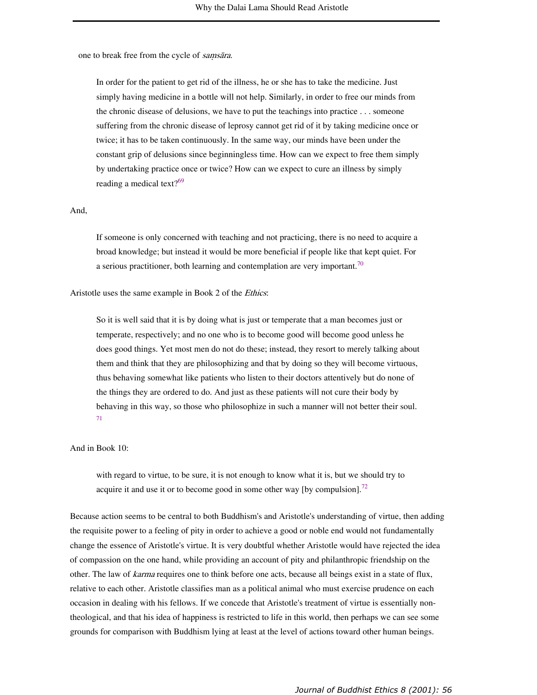one to break free from the cycle of samsara.

In order for the patient to get rid of the illness, he or she has to take the medicine. Just simply having medicine in a bottle will not help. Similarly, in order to free our minds from the chronic disease of delusions, we have to put the teachings into practice . . . someone suffering from the chronic disease of leprosy cannot get rid of it by taking medicine once or twice; it has to be taken continuously. In the same way, our minds have been under the constant grip of delusions since beginningless time. How can we expect to free them simply by undertaking practice once or twice? How can we expect to cure an illness by simply reading a medical text? $69$ 

### And,

If someone is only concerned with teaching and not practicing, there is no need to acquire a broad knowledge; but instead it would be more beneficial if people like that kept quiet. For a serious practitioner, both learning and contemplation are very important.<sup>70</sup>

### Aristotle uses the same example in Book 2 of the *Ethics*:

So it is well said that it is by doing what is just or temperate that a man becomes just or temperate, respectively; and no one who is to become good will become good unless he does good things. Yet most men do not do these; instead, they resort to merely talking about them and think that they are philosophizing and that by doing so they will become virtuous, thus behaving somewhat like patients who listen to their doctors attentively but do none of the things they are ordered to do. And just as these patients will not cure their body by behaving in this way, so those who philosophize in such a manner will not better their soul. 71

# And in Book 10:

with regard to virtue, to be sure, it is not enough to know what it is, but we should try to acquire it and use it or to become good in some other way [by compulsion].<sup>72</sup>

Because action seems to be central to both Buddhism's and Aristotle's understanding of virtue, then adding the requisite power to a feeling of pity in order to achieve a good or noble end would not fundamentally change the essence of Aristotle's virtue. It is very doubtful whether Aristotle would have rejected the idea of compassion on the one hand, while providing an account of pity and philanthropic friendship on the other. The law of karma requires one to think before one acts, because all beings exist in a state of flux, relative to each other. Aristotle classifies man as a political animal who must exercise prudence on each occasion in dealing with his fellows. If we concede that Aristotle's treatment of virtue is essentially nontheological, and that his idea of happiness is restricted to life in this world, then perhaps we can see some grounds for comparison with Buddhism lying at least at the level of actions toward other human beings.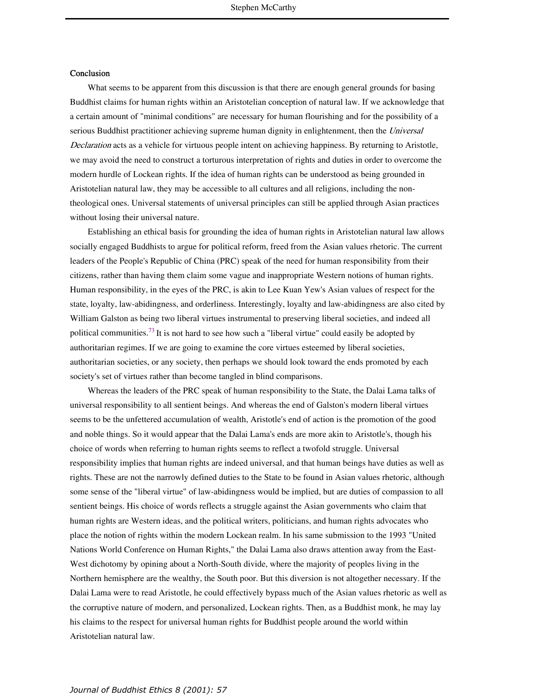## Conclusion

What seems to be apparent from this discussion is that there are enough general grounds for basing Buddhist claims for human rights within an Aristotelian conception of natural law. If we acknowledge that a certain amount of "minimal conditions" are necessary for human flourishing and for the possibility of a serious Buddhist practitioner achieving supreme human dignity in enlightenment, then the Universal Declaration acts as a vehicle for virtuous people intent on achieving happiness. By returning to Aristotle, we may avoid the need to construct a torturous interpretation of rights and duties in order to overcome the modern hurdle of Lockean rights. If the idea of human rights can be understood as being grounded in Aristotelian natural law, they may be accessible to all cultures and all religions, including the nontheological ones. Universal statements of universal principles can still be applied through Asian practices without losing their universal nature.

Establishing an ethical basis for grounding the idea of human rights in Aristotelian natural law allows socially engaged Buddhists to argue for political reform, freed from the Asian values rhetoric. The current leaders of the People's Republic of China (PRC) speak of the need for human responsibility from their citizens, rather than having them claim some vague and inappropriate Western notions of human rights. Human responsibility, in the eyes of the PRC, is akin to Lee Kuan Yew's Asian values of respect for the state, loyalty, law-abidingness, and orderliness. Interestingly, loyalty and law-abidingness are also cited by William Galston as being two liberal virtues instrumental to preserving liberal societies, and indeed all political communities.<sup>73</sup> It is not hard to see how such a "liberal virtue" could easily be adopted by authoritarian regimes. If we are going to examine the core virtues esteemed by liberal societies, authoritarian societies, or any society, then perhaps we should look toward the ends promoted by each society's set of virtues rather than become tangled in blind comparisons.

Whereas the leaders of the PRC speak of human responsibility to the State, the Dalai Lama talks of universal responsibility to all sentient beings. And whereas the end of Galston's modern liberal virtues seems to be the unfettered accumulation of wealth, Aristotle's end of action is the promotion of the good and noble things. So it would appear that the Dalai Lama's ends are more akin to Aristotle's, though his choice of words when referring to human rights seems to reflect a twofold struggle. Universal responsibility implies that human rights are indeed universal, and that human beings have duties as well as rights. These are not the narrowly defined duties to the State to be found in Asian values rhetoric, although some sense of the "liberal virtue" of law-abidingness would be implied, but are duties of compassion to all sentient beings. His choice of words reflects a struggle against the Asian governments who claim that human rights are Western ideas, and the political writers, politicians, and human rights advocates who place the notion of rights within the modern Lockean realm. In his same submission to the 1993 "United Nations World Conference on Human Rights," the Dalai Lama also draws attention away from the East-West dichotomy by opining about a North-South divide, where the majority of peoples living in the Northern hemisphere are the wealthy, the South poor. But this diversion is not altogether necessary. If the Dalai Lama were to read Aristotle, he could effectively bypass much of the Asian values rhetoric as well as the corruptive nature of modern, and personalized, Lockean rights. Then, as a Buddhist monk, he may lay his claims to the respect for universal human rights for Buddhist people around the world within Aristotelian natural law.

#### *Journal of Buddhist Ethics 8 (2001): 57*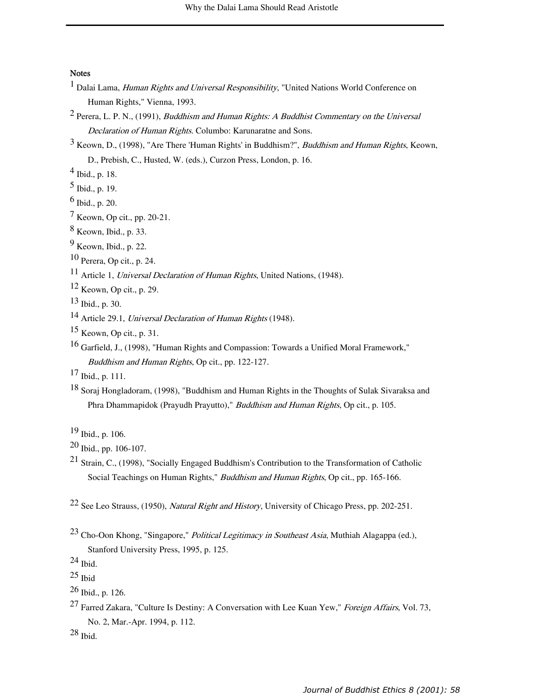# **Notes**

- $<sup>1</sup>$  Dalai Lama, *Human Rights and Universal Responsibility*, "United Nations World Conference on</sup> Human Rights," Vienna, 1993.
- <sup>2</sup> Perera, L. P. N., (1991), *Buddhism and Human Rights: A Buddhist Commentary on the Universal* Declaration of Human Rights. Columbo: Karunaratne and Sons.
- $3$  Keown, D., (1998), "Are There 'Human Rights' in Buddhism?", *Buddhism and Human Rights*, Keown, D., Prebish, C., Husted, W. (eds.), Curzon Press, London, p. 16.
- 4 Ibid., p. 18.
- $^5$  Ibid., p. 19.
- $6$  Ibid., p. 20.
- 7 Keown, Op cit., pp. 20-21.
- 8 Keown, Ibid., p. 33.
- 9 Keown, Ibid., p. 22.
- 10 Perera, Op cit., p. 24.
- <sup>11</sup> Article 1, *Universal Declaration of Human Rights*, United Nations, (1948).
- $12$  Keown, Op cit., p. 29.
- $13$  Ibid., p. 30.
- 14 Article 29.1, Universal Declaration of Human Rights (1948).
- $15$  Keown, Op cit., p. 31.
- <sup>16</sup> Garfield, J., (1998), "Human Rights and Compassion: Towards a Unified Moral Framework," Buddhism and Human Rights, Op cit., pp. 122-127.
- $17$  Ibid., p. 111.
- 18 Soraj Hongladoram, (1998), "Buddhism and Human Rights in the Thoughts of Sulak Sivaraksa and Phra Dhammapidok (Prayudh Prayutto)," Buddhism and Human Rights, Op cit., p. 105.

- 20 Ibid., pp. 106-107.
- <sup>21</sup> Strain, C., (1998), "Socially Engaged Buddhism's Contribution to the Transformation of Catholic Social Teachings on Human Rights," Buddhism and Human Rights, Op cit., pp. 165-166.
- 22 See Leo Strauss, (1950), Natural Right and History, University of Chicago Press, pp. 202-251.
- 23 Cho-Oon Khong, "Singapore," Political Legitimacy in Southeast Asia, Muthiah Alagappa (ed.), Stanford University Press, 1995, p. 125.
- 24 Ibid.
- $25$  Ibid
- 26 Ibid., p. 126.
- <sup>27</sup> Farred Zakara, "Culture Is Destiny: A Conversation with Lee Kuan Yew," *Foreign Affairs*, Vol. 73, No. 2, Mar.-Apr. 1994, p. 112.
- $28$  Ibid.

<sup>19</sup> Ibid., p. 106.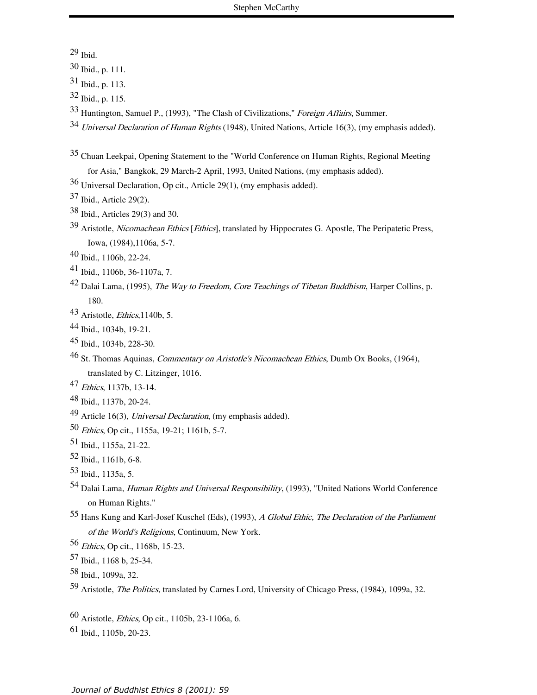Ibid.

Ibid., p. 111.

Ibid., p. 113.

- Ibid., p. 115.
- Huntington, Samuel P., (1993), "The Clash of Civilizations," Foreign Affairs, Summer.
- Universal Declaration of Human Rights (1948), United Nations, Article 16(3), (my emphasis added).
- 35 Chuan Leekpai, Opening Statement to the "World Conference on Human Rights, Regional Meeting for Asia," Bangkok, 29 March-2 April, 1993, United Nations, (my emphasis added).
- 36 Universal Declaration, Op cit., Article 29(1), (my emphasis added).
- Ibid., Article 29(2).
- Ibid., Articles 29(3) and 30.
- Aristotle, *Nicomachean Ethics* [*Ethics*], translated by Hippocrates G. Apostle, The Peripatetic Press, Iowa, (1984),1106a, 5-7.
- Ibid., 1106b, 22-24.
- Ibid., 1106b, 36-1107a, 7.
- Dalai Lama, (1995), *The Way to Freedom, Core Teachings of Tibetan Buddhism*, Harper Collins, p. 180.
- Aristotle, *Ethics*, 1140b, 5.
- Ibid., 1034b, 19-21.
- Ibid., 1034b, 228-30.
- 46 St. Thomas Aquinas, *Commentary on Aristotle's Nicomachean Ethics*, Dumb Ox Books, (1964), translated by C. Litzinger, 1016.
- 47 Ethics, 1137b, 13-14.
- Ibid., 1137b, 20-24.
- Article 16(3), Universal Declaration, (my emphasis added).
- Ethics, Op cit., 1155a, 19-21; 1161b, 5-7.
- Ibid., 1155a, 21-22.
- Ibid., 1161b, 6-8.
- 53 Ibid., 1135a, 5.
- 54 Dalai Lama, *Human Rights and Universal Responsibility*, (1993), "United Nations World Conference on Human Rights."
- Hans Kung and Karl-Josef Kuschel (Eds), (1993), A Global Ethic, The Declaration of the Parliament of the World's Religions, Continuum, New York.
- Ethics, Op cit., 1168b, 15-23.
- Ibid., 1168 b, 25-34.
- Ibid., 1099a, 32.
- Aristotle, The Politics, translated by Carnes Lord, University of Chicago Press, (1984), 1099a, 32.
- Aristotle, Ethics, Op cit., 1105b, 23-1106a, 6.
- Ibid., 1105b, 20-23.